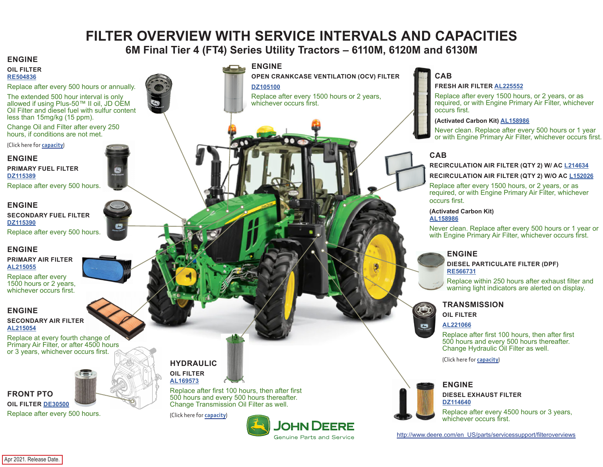# **FILTER OVERVIEW WITH SERVICE INTERVALS AND CAPACITIES**

# **6M Final Tier 4 (FT4) Series Utility Tractors – 6110M, 6120M and 6130M**

#### <span id="page-0-0"></span>**ENGINE**

#### **OIL FILTER [RE504836](https://jdparts.deere.com/servlet/com.deere.u90.jdparts.view.servlets.partinfocontroller.PartDetails?screenName=JDSearch&&partSearchNumber=RE504836)**

Replace after every 500 hours or annually.

The extended 500 hour interval is only allowed if using Plus-50™ II oil, JD OEM Oil Filter and diesel fuel with sulfur content less than 15mg/kg (15 ppm).

Change Oil and Filter after every 250 hours, if conditions are not met.

(Click here for **[capacity](#page-1-0)**)

#### **ENGINE**

**PRIMARY FUEL FILTER [DZ115389](https://jdparts.deere.com/servlet/com.deere.u90.jdparts.view.servlets.partinfocontroller.PartDetails?screenName=JDSearch&&partSearchNumber=DZ115389)**

Replace after every 500 hours.

#### **ENGINE**

**SECONDARY FUEL FILTER [DZ115390](https://jdparts.deere.com/servlet/com.deere.u90.jdparts.view.servlets.partinfocontroller.PartDetails?screenName=JDSearch&&partSearchNumber=DZ115390)**

Replace after every 500 hours.

#### **ENGINE**

#### **PRIMARY AIR FILTER [AL215055](https://jdparts.deere.com/servlet/com.deere.u90.jdparts.view.servlets.partinfocontroller.PartDetails?screenName=JDSearch&&partSearchNumber=AL215055)**

Replace after every 1500 hours or 2 years, whichever occurs first.

#### **ENGINE**

#### **SECONDARY AIR FILTER [AL215054](https://jdparts.deere.com/servlet/com.deere.u90.jdparts.view.servlets.partinfocontroller.PartDetails?screenName=JDSearch&&partSearchNumber=AL215054)**

Replace at every fourth change of Primary Air Filter, or after 4500 hours or 3 years, whichever occurs first.



Replace after every 500 hours.

### **ENGINE**

**OPEN CRANKCASE VENTILATION (OCV) FILTER**

**[DZ105100](https://jdparts.deere.com/servlet/com.deere.u90.jdparts.view.servlets.partinfocontroller.PartDetails?screenName=JDSearch&&partSearchNumber=DZ105100)**

Replace after every 1500 hours or 2 years, whichever occurs first.

# **CAB**

#### **FRESH AIR FILTER [AL225552](https://jdparts.deere.com/servlet/com.deere.u90.jdparts.view.servlets.partinfocontroller.PartDetails?screenName=JDSearch&&partSearchNumber=AL225552)**

Replace after every 1500 hours, or 2 years, or as required, or with Engine Primary Air Filter, whichever occurs first.

#### **(Activated Carbon Kit) [AL158986](https://jdparts.deere.com/servlet/com.deere.u90.jdparts.view.servlets.partinfocontroller.PartDetails?screenName=JDSearch&&partSearchNumber=AL158986)**

Never clean. Replace after every 500 hours or 1 year or with Engine Primary Air Filter, whichever occurs first.

## **CAB**

#### **RECIRCULATION AIR FILTER (QTY 2) W/ AC [L214634](https://jdparts.deere.com/servlet/com.deere.u90.jdparts.view.servlets.partinfocontroller.PartDetails?screenName=JDSearch&&partSearchNumber=L214634)**

#### **RECIRCULATION AIR FILTER (QTY 2) W/O AC [L152026](https://jdparts.deere.com/servlet/com.deere.u90.jdparts.view.servlets.partinfocontroller.PartDetails?screenName=JDSearch&&partSearchNumber=L152026)**

Replace after every 1500 hours, or 2 years, or as required, or with Engine Primary Air Filter, whichever occurs first.

## **(Activated Carbon Kit)**

**[AL158986](https://jdparts.deere.com/servlet/com.deere.u90.jdparts.view.servlets.partinfocontroller.PartDetails?screenName=JDSearch&&partSearchNumber=AL158986)**

Never clean. Replace after every 500 hours or 1 year or with Engine Primary Air Filter, whichever occurs first.

### **ENGINE**

#### **DIESEL PARTICULATE FILTER (DPF) [RE566731](https://jdparts.deere.com/servlet/com.deere.u90.jdparts.view.servlets.partinfocontroller.PartDetails?screenName=JDSearch&&partSearchNumber=RE566731)**

Replace within 250 hours after exhaust filter and warning light indicators are alerted on display.



**OIL FILTER**

#### **[AL221066](https://jdparts.deere.com/servlet/com.deere.u90.jdparts.view.servlets.partinfocontroller.PartDetails?screenName=JDSearch&&partSearchNumber=AL221066)**

Replace after first 100 hours, then after first 500 hours and every 500 hours thereafter. Change Hydraulic Oil Filter as well.

(Click here for **[capacity](#page-1-0)**)

## **ENGINE**



E

**DIESEL EXHAUST FILTER [DZ114640](https://jdparts.deere.com/servlet/com.deere.u90.jdparts.view.servlets.partinfocontroller.PartDetails?screenName=JDSearch&&partSearchNumber=DZ114640)**

Replace after every 4500 hours or 3 years, whichever occurs first.

[http://www.deere.com/en\\_US/parts/servicessupport/filteroverviews](http://www.deere.com/en_US/parts/servicessupport/filteroverviews)

Replace after first 100 hours, then after first 500 hours and every 500 hours thereafter. Change Transmission Oil Filter as well.

**HYDRAULIC OIL FILTER [AL169573](https://jdparts.deere.com/servlet/com.deere.u90.jdparts.view.servlets.partinfocontroller.PartDetails?screenName=JDSearch&&partSearchNumber=AL169573)**

(Click here for **[capacity](#page-1-0)**)



**FRONT PTO**